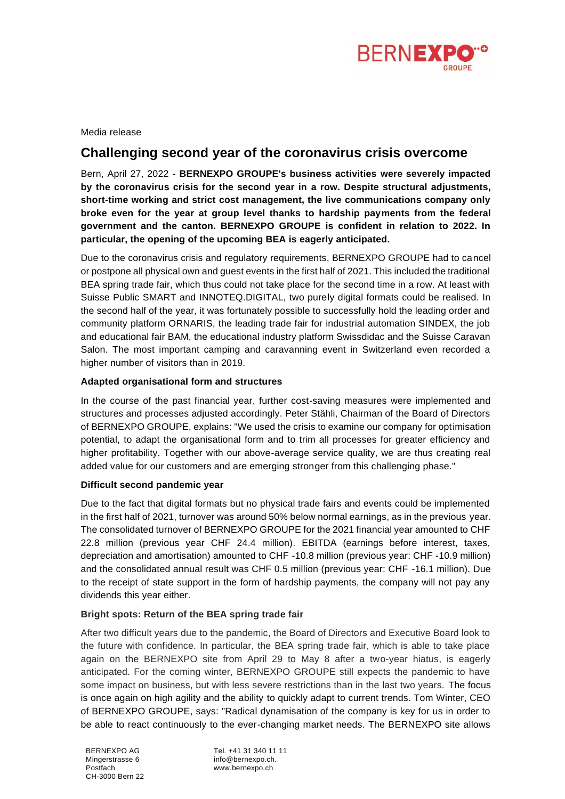

Media release

# **Challenging second year of the coronavirus crisis overcome**

Bern, April 27, 2022 - **BERNEXPO GROUPE's business activities were severely impacted by the coronavirus crisis for the second year in a row. Despite structural adjustments, short-time working and strict cost management, the live communications company only broke even for the year at group level thanks to hardship payments from the federal government and the canton. BERNEXPO GROUPE is confident in relation to 2022. In particular, the opening of the upcoming BEA is eagerly anticipated.** 

Due to the coronavirus crisis and regulatory requirements, BERNEXPO GROUPE had to cancel or postpone all physical own and guest events in the first half of 2021. This included the traditional BEA spring trade fair, which thus could not take place for the second time in a row. At least with Suisse Public SMART and INNOTEQ.DIGITAL, two purely digital formats could be realised. In the second half of the year, it was fortunately possible to successfully hold the leading order and community platform ORNARIS, the leading trade fair for industrial automation SINDEX, the job and educational fair BAM, the educational industry platform Swissdidac and the Suisse Caravan Salon. The most important camping and caravanning event in Switzerland even recorded a higher number of visitors than in 2019.

# **Adapted organisational form and structures**

In the course of the past financial year, further cost-saving measures were implemented and structures and processes adjusted accordingly. Peter Stähli, Chairman of the Board of Directors of BERNEXPO GROUPE, explains: "We used the crisis to examine our company for optimisation potential, to adapt the organisational form and to trim all processes for greater efficiency and higher profitability. Together with our above-average service quality, we are thus creating real added value for our customers and are emerging stronger from this challenging phase."

# **Difficult second pandemic year**

Due to the fact that digital formats but no physical trade fairs and events could be implemented in the first half of 2021, turnover was around 50% below normal earnings, as in the previous year. The consolidated turnover of BERNEXPO GROUPE for the 2021 financial year amounted to CHF 22.8 million (previous year CHF 24.4 million). EBITDA (earnings before interest, taxes, depreciation and amortisation) amounted to CHF -10.8 million (previous year: CHF -10.9 million) and the consolidated annual result was CHF 0.5 million (previous year: CHF -16.1 million). Due to the receipt of state support in the form of hardship payments, the company will not pay any dividends this year either.

# **Bright spots: Return of the BEA spring trade fair**

After two difficult years due to the pandemic, the Board of Directors and Executive Board look to the future with confidence. In particular, the BEA spring trade fair, which is able to take place again on the BERNEXPO site from April 29 to May 8 after a two-year hiatus, is eagerly anticipated. For the coming winter, BERNEXPO GROUPE still expects the pandemic to have some impact on business, but with less severe restrictions than in the last two years. The focus is once again on high agility and the ability to quickly adapt to current trends. Tom Winter, CEO of BERNEXPO GROUPE, says: "Radical dynamisation of the company is key for us in order to be able to react continuously to the ever-changing market needs. The BERNEXPO site allows

Tel. +41 31 340 11 11 info@bernexpo.ch. www.bernexpo.ch